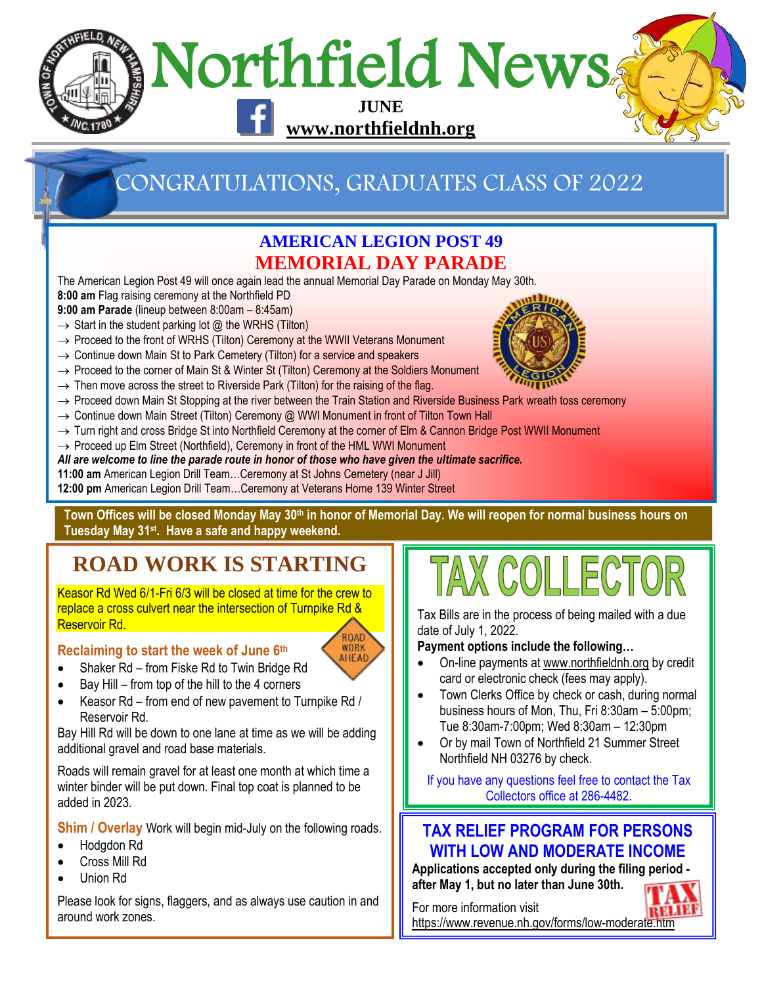

# CONGRATULATIONS, GRADUATES CLASS OF 2022

### **AMERICAN LEGION POST 49 MEMORIAL DAY PARADE**

The American Legion Post 49 will once again lead the annual Memorial Day Parade on Monday May 30th. **8:00 am** Flag raising ceremony at the Northfield PD

**9:00 am Parade** (lineup between 8:00am – 8:45am)

- $\rightarrow$  Start in the student parking lot @ the WRHS (Tilton)
- → Proceed to the front of WRHS (Tilton) Ceremony at the WWII Veterans Monument
- $\rightarrow$  Continue down Main St to Park Cemetery (Tilton) for a service and speakers
- → Proceed to the corner of Main St & Winter St (Tilton) Ceremony at the Soldiers Monument
- $\rightarrow$  Then move across the street to Riverside Park (Tilton) for the raising of the flag.
- $\rightarrow$  Proceed down Main St Stopping at the river between the Train Station and Riverside Business Park wreath toss ceremony
- → Continue down Main Street (Tilton) Ceremony @ WWI Monument in front of Tilton Town Hall
- → Turn right and cross Bridge St into Northfield Ceremony at the corner of Elm & Cannon Bridge Post WWII Monument
- → Proceed up Elm Street (Northfield), Ceremony in front of the HML WWI Monument

#### *All are welcome to line the parade route in honor of those who have given the ultimate sacrifice.*

- **11:00 am** American Legion Drill Team…Ceremony at St Johns Cemetery (near J Jill)
- **12:00 pm** American Legion Drill Team…Ceremony at Veterans Home 139 Winter Street

**Town Offices will be closed Monday May 30th in honor of Memorial Day. We will reopen for normal business hours on Tuesday May 31st . Have a safe and happy weekend.** 

> ROAD **WORK** AIIEAD

## **ROAD WORK IS STARTING**

Keasor Rd Wed 6/1-Fri 6/3 will be closed at time for the crew to replace a cross culvert near the intersection of Turnpike Rd & Reservoir Rd.



- Shaker Rd from Fiske Rd to Twin Bridge Rd
- Bay Hill from top of the hill to the 4 corners
- Keasor Rd from end of new pavement to Turnpike Rd / Reservoir Rd.

Bay Hill Rd will be down to one lane at time as we will be adding additional gravel and road base materials.

Roads will remain gravel for at least one month at which time a winter binder will be put down. Final top coat is planned to be added in 2023.

**Shim / Overlay** Work will begin mid-July on the following roads.

- Hodgdon Rd
- Cross Mill Rd
- Union Rd

Please look for signs, flaggers, and as always use caution in and around work zones.

# TAX COLLECTOR

Tax Bills are in the process of being mailed with a due date of July 1, 2022.

**Payment options include the following…**

- On-line payments a[t www.northfieldnh.org](http://www.northfieldnh.org/) by credit card or electronic check (fees may apply).
- Town Clerks Office by check or cash, during normal business hours of Mon, Thu, Fri 8:30am – 5:00pm; Tue 8:30am-7:00pm; Wed 8:30am – 12:30pm
- Or by mail Town of Northfield 21 Summer Street Northfield NH 03276 by check.

If you have any questions feel free to contact the Tax Collectors office at 286-4482.

### **TAX RELIEF PROGRAM FOR PERSONS WITH LOW AND MODERATE INCOME**

**Applications accepted only during the filing period after May 1, but no later than June 30th.**



For more information visit <https://www.revenue.nh.gov/forms/low-moderate.htm>

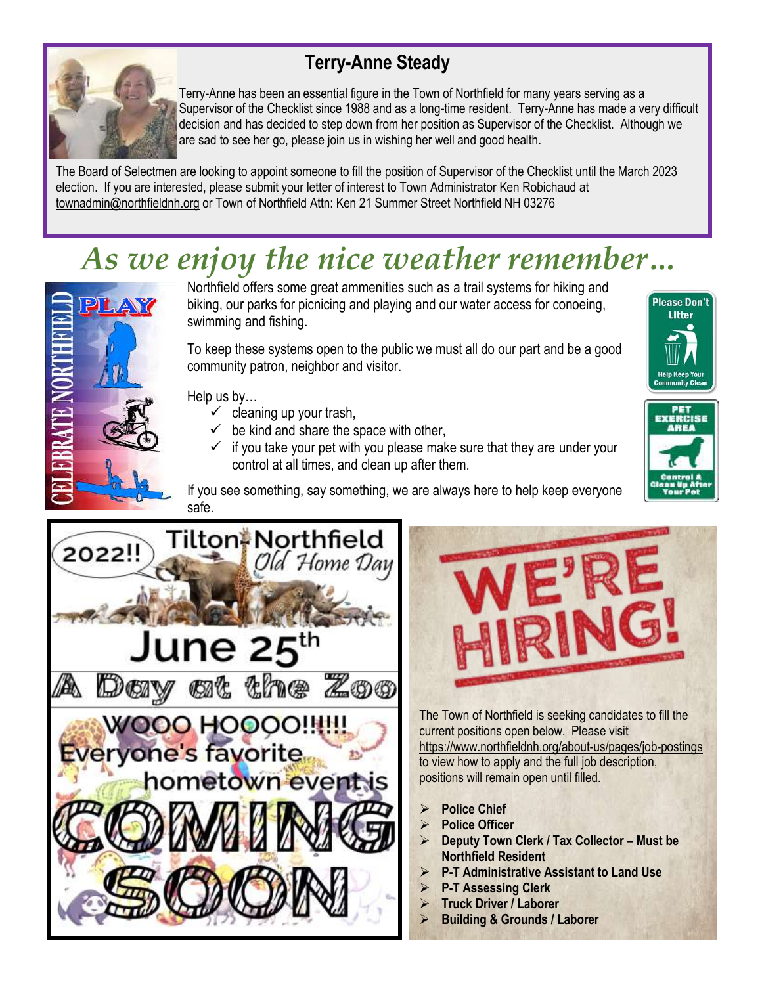## **Terry-Anne Steady**



Terry-Anne has been an essential figure in the Town of Northfield for many years serving as a Supervisor of the Checklist since 1988 and as a long-time resident. Terry-Anne has made a very difficult decision and has decided to step down from her position as Supervisor of the Checklist. Although we are sad to see her go, please join us in wishing her well and good health.

The Board of Selectmen are looking to appoint someone to fill the position of Supervisor of the Checklist until the March 2023 election. If you are interested, please submit your letter of interest to Town Administrator Ken Robichaud at [townadmin@northfieldnh.org](mailto:townadmin@northfieldnh.org) or Town of Northfield Attn: Ken 21 Summer Street Northfield NH 03276

# *As we enjoy the nice weather remember…*



Northfield offers some great ammenities such as a trail systems for hiking and biking, our parks for picnicing and playing and our water access for conoeing, swimming and fishing.

To keep these systems open to the public we must all do our part and be a good community patron, neighbor and visitor.

Help us by…

- $\checkmark$  cleaning up your trash,
- $\checkmark$  be kind and share the space with other,
- $\checkmark$  if you take your pet with you please make sure that they are under your control at all times, and clean up after them.





If you see something, say something, we are always here to help keep everyone safe.





The Town of Northfield is seeking candidates to fill the current positions open below. Please visit <https://www.northfieldnh.org/about-us/pages/job-postings> to view how to apply and the full job description, positions will remain open until filled.

- ➢ **Police Chief**
- ➢ **Police Officer**
- ➢ **Deputy Town Clerk / Tax Collector – Must be Northfield Resident**
- ➢ **P-T Administrative Assistant to Land Use**
- ➢ **P-T Assessing Clerk**
- ➢ **Truck Driver / Laborer**
- ➢ **Building & Grounds / Laborer**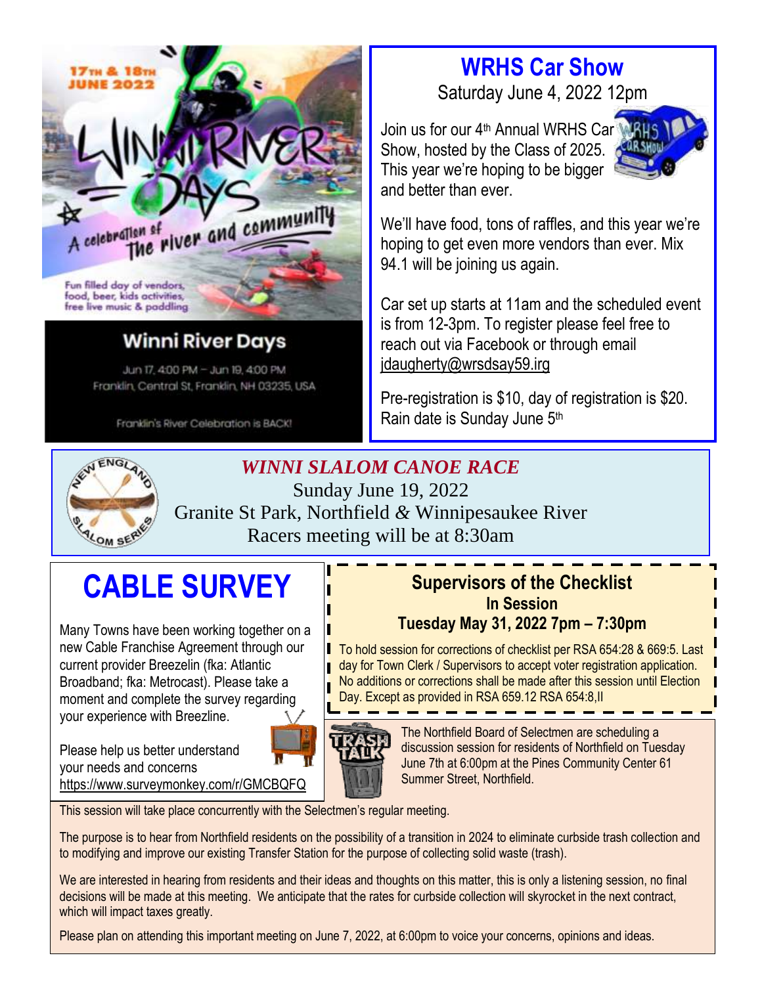

## **Winni River Days**

Jun 17, 4:00 PM - Jun 19, 4:00 PM Franklin, Central St, Franklin, NH 03235, USA

Franklin's River Celebration is BACK!



### *WINNI SLALOM CANOE RACE*

Sunday June 19, 2022 Granite St Park, Northfield *&* Winnipesaukee River Racers meeting will be at 8:30am

# **CABLE SURVEY**

Many Towns have been working together on a new Cable Franchise Agreement through our current provider Breezelin (fka: Atlantic Broadband; fka: Metrocast). Please take a moment and complete the survey regarding your experience with Breezline.

Please help us better understand your needs and concerns <https://www.surveymonkey.com/r/GMCBQFQ>

### **Supervisors of the Checklist In Session Tuesday May 31, 2022 7pm – 7:30pm**

To hold session for corrections of checklist per RSA 654:28 & 669:5. Last day for Town Clerk / Supervisors to accept voter registration application. No additions or corrections shall be made after this session until Election Day. Except as provided in RSA 659.12 RSA 654:8,II



The Northfield Board of Selectmen are scheduling a discussion session for residents of Northfield on Tuesday June 7th at 6:00pm at the Pines Community Center 61 Summer Street, Northfield.

This session will take place concurrently with the Selectmen's regular meeting.

The purpose is to hear from Northfield residents on the possibility of a transition in 2024 to eliminate curbside trash collection and to modifying and improve our existing Transfer Station for the purpose of collecting solid waste (trash).

We are interested in hearing from residents and their ideas and thoughts on this matter, this is only a listening session, no final decisions will be made at this meeting. We anticipate that the rates for curbside collection will skyrocket in the next contract, which will impact taxes greatly.

Please plan on attending this important meeting on June 7, 2022, at 6:00pm to voice your concerns, opinions and ideas.

# **WRHS Car Show**

Saturday June 4, 2022 12pm

We'll have food, tons of raffles, and this year we're hoping to get even more vendors than ever. Mix

Car set up starts at 11am and the scheduled event

is from 12-3pm. To register please feel free to

Pre-registration is \$10, day of registration is \$20.

reach out via Facebook or through email

Join us for our 4<sup>th</sup> Annual WRHS Car Show, hosted by the Class of 2025. This year we're hoping to be bigger and better than ever.

94.1 will be joining us again.

[jdaugherty@wrsdsay59.irg](mailto:jdaugherty@wrsdsay59.irg)

Rain date is Sunday June 5<sup>th</sup>

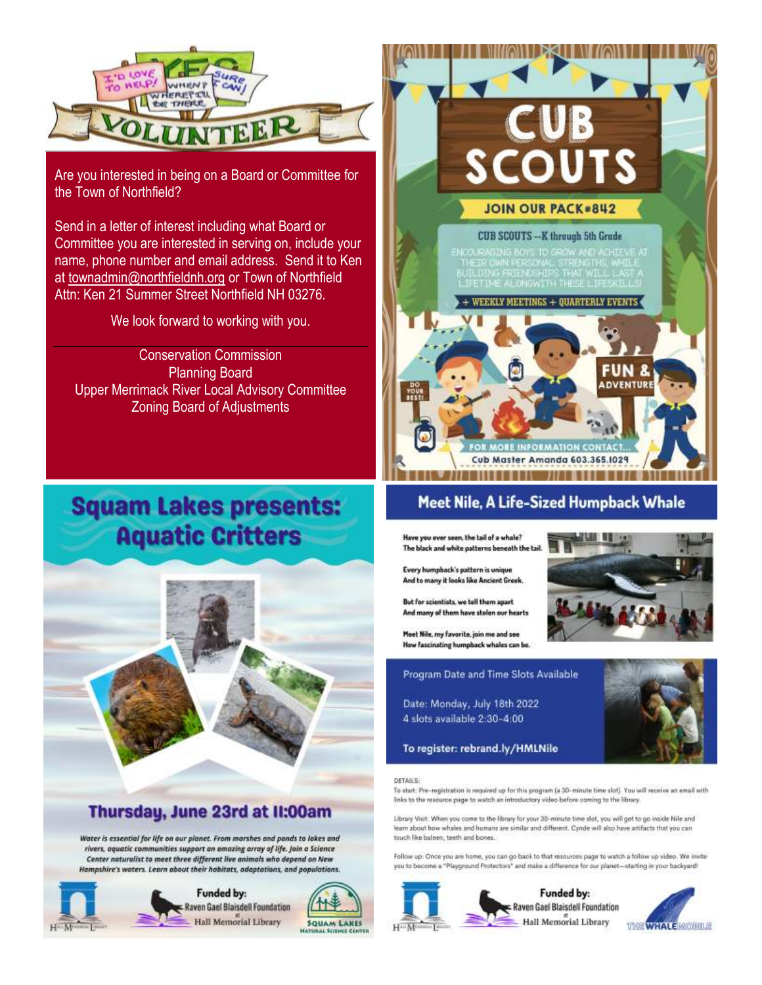

Are you interested in being on a Board or Committee for the Town of Northfield?

Send in a letter of interest including what Board or Committee you are interested in serving on, include your name, phone number and email address. Send it to Ken at [townadmin@northfieldnh.org](mailto:townadmin@northfieldnh.org) or Town of Northfield Attn: Ken 21 Summer Street Northfield NH 03276.

We look forward to working with you.

Conservation Commission Planning Board Upper Merrimack River Local Advisory Committee Zoning Board of Adjustments

# **Squam Lakes presents: Aquatic Critters**



### Thursday, June 23rd at II:00am

Water is essential for life on our planet. From marshes and ponds to lakes and rivers, aquatic communities support an amazing array of life. Join a Science Center naturalist to meet three different live animals who depend on New Hampshire's waters. Learn about their habitats, adoptations, and populations.





### Meet Nile, A Life-Sized Humpback Whale

Have you ever seen, the tail of a whale? The black and white patterns beneath the tail

Every humpback's pattern is unique And to many it looks like Ancient Greek.

But for scientists, we tell them apart And many of them have stolen our hearts

Meet Nile, my favorite, join me and see How fascinating humpback whales can be.

Program Date and Time Slots Available

Date: Monday, July 18th 2022 4 slots available 2:30-4:00



#### To register: rebrand.ly/HMLNile

#### DETAILS:

 $H^{\alpha\alpha}M$ 

To start: Pre-registration is required up for this program (a 30-minute time slot). You will receive an email with links to the resource page to watch an introductory video before coming to the library.

Library Visit: When you come to the library for your 30-minute time slot, you will get to go inside Nile and learn about how whales and humans are similar and different. Cynde will also have artifacts that you can touch like baleen, teeth and bones.

Follow up: Once you are home, you can go back to that resources page to watch a follow up video. We invite you to become a "Playground Protectors" and make a difference for our planet-starting in your backyard!



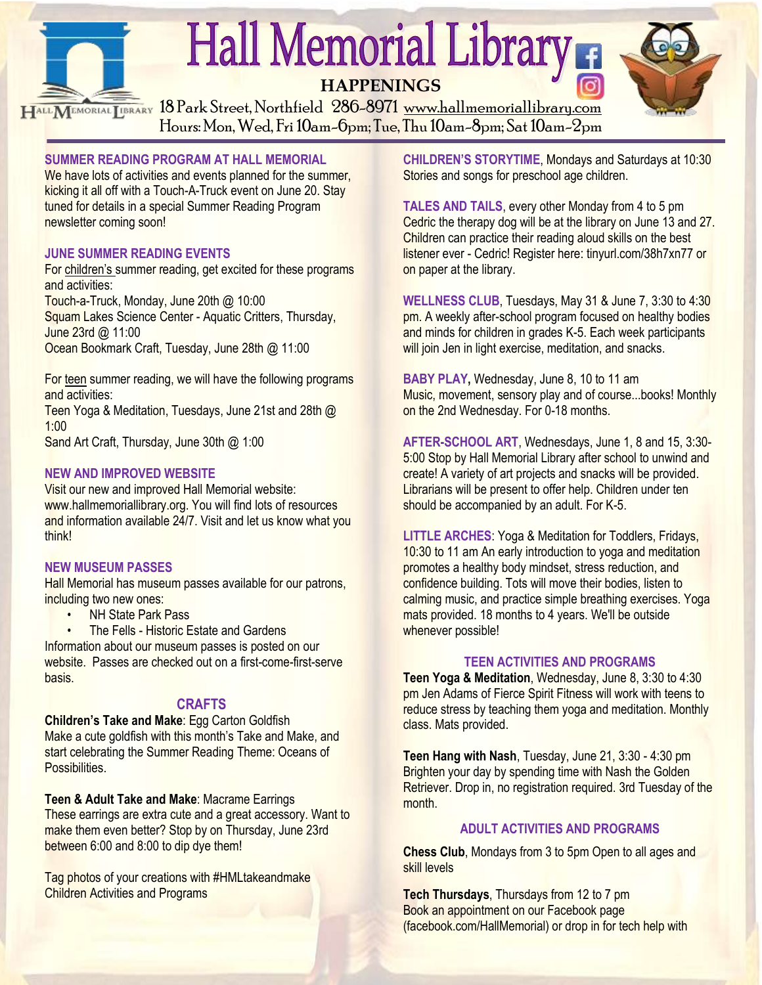

HALL MEMORIAL LIBRARY 18 Park Street, Northfield 286-8971 [www.hallmemoriallibrary.com](http://www.hallmemoriallibrary.com/) Hours: Mon, Wed, Fri 10am-6pm; Tue, Thu 10am-8pm; Sat 10am-2pm

#### **SUMMER READING PROGRAM AT HALL MEMORIAL**

We have lots of activities and events planned for the summer. kicking it all off with a Touch-A-Truck event on June 20. Stay tuned for details in a special Summer Reading Program newsletter coming soon!

#### **JUNE SUMMER READING EVENTS**

For children's summer reading, get excited for these programs and activities:

Touch-a-Truck, Monday, June 20th @ 10:00 Squam Lakes Science Center - Aquatic Critters, Thursday, June 23rd @ 11:00 Ocean Bookmark Craft, Tuesday, June 28th @ 11:00

For teen summer reading, we will have the following programs and activities:

Teen Yoga & Meditation, Tuesdays, June 21st and 28th @ 1:00

Sand Art Craft, Thursday, June 30th @ 1:00

#### **NEW AND IMPROVED WEBSITE**

Visit our new and improved Hall Memorial website: www.hallmemoriallibrary.org. You will find lots of resources and information available 24/7. Visit and let us know what you think!

#### **NEW MUSEUM PASSES**

Hall Memorial has museum passes available for our patrons, including two new ones:

**NH State Park Pass** 

• The Fells - Historic Estate and Gardens

Information about our museum passes is posted on our website. Passes are checked out on a first-come-first-serve basis.

#### **CRAFTS**

**Children's Take and Make**: Egg Carton Goldfish Make a cute goldfish with this month's Take and Make, and start celebrating the Summer Reading Theme: Oceans of Possibilities.

**Teen & Adult Take and Make**: Macrame Earrings These earrings are extra cute and a great accessory. Want to make them even better? Stop by on Thursday, June 23rd between 6:00 and 8:00 to dip dye them!

Tag photos of your creations with #HMLtakeandmake **Children Activities and Programs** 

**CHILDREN'S STORYTIME**, Mondays and Saturdays at 10:30 Stories and songs for preschool age children.

**TALES AND TAILS**, every other Monday from 4 to 5 pm Cedric the therapy dog will be at the library on June 13 and 27. Children can practice their reading aloud skills on the best listener ever - Cedric! Register here: tinyurl.com/38h7xn77 or on paper at the library.

**WELLNESS CLUB**, Tuesdays, May 31 & June 7, 3:30 to 4:30 pm. A weekly after-school program focused on healthy bodies and minds for children in grades K-5. Each week participants will join Jen in light exercise, meditation, and snacks.

**BABY PLAY,** Wednesday, June 8, 10 to 11 am Music, movement, sensory play and of course...books! Monthly on the 2nd Wednesday. For 0-18 months.

**AFTER-SCHOOL ART**, Wednesdays, June 1, 8 and 15, 3:30- 5:00 Stop by Hall Memorial Library after school to unwind and create! A variety of art projects and snacks will be provided. Librarians will be present to offer help. Children under ten should be accompanied by an adult. For K-5.

**LITTLE ARCHES**: Yoga & Meditation for Toddlers, Fridays, 10:30 to 11 am An early introduction to yoga and meditation promotes a healthy body mindset, stress reduction, and confidence building. Tots will move their bodies, listen to calming music, and practice simple breathing exercises. Yoga mats provided. 18 months to 4 years. We'll be outside whenever possible!

#### **TEEN ACTIVITIES AND PROGRAMS**

**Teen Yoga & Meditation**, Wednesday, June 8, 3:30 to 4:30 pm Jen Adams of Fierce Spirit Fitness will work with teens to reduce stress by teaching them yoga and meditation. Monthly class. Mats provided.

**Teen Hang with Nash**, Tuesday, June 21, 3:30 - 4:30 pm Brighten your day by spending time with Nash the Golden Retriever. Drop in, no registration required. 3rd Tuesday of the month.

#### **ADULT ACTIVITIES AND PROGRAMS**

**Chess Club**, Mondays from 3 to 5pm Open to all ages and skill levels

**Tech Thursdays**, Thursdays from 12 to 7 pm Book an appointment on our Facebook page (facebook.com/HallMemorial) or drop in for tech help with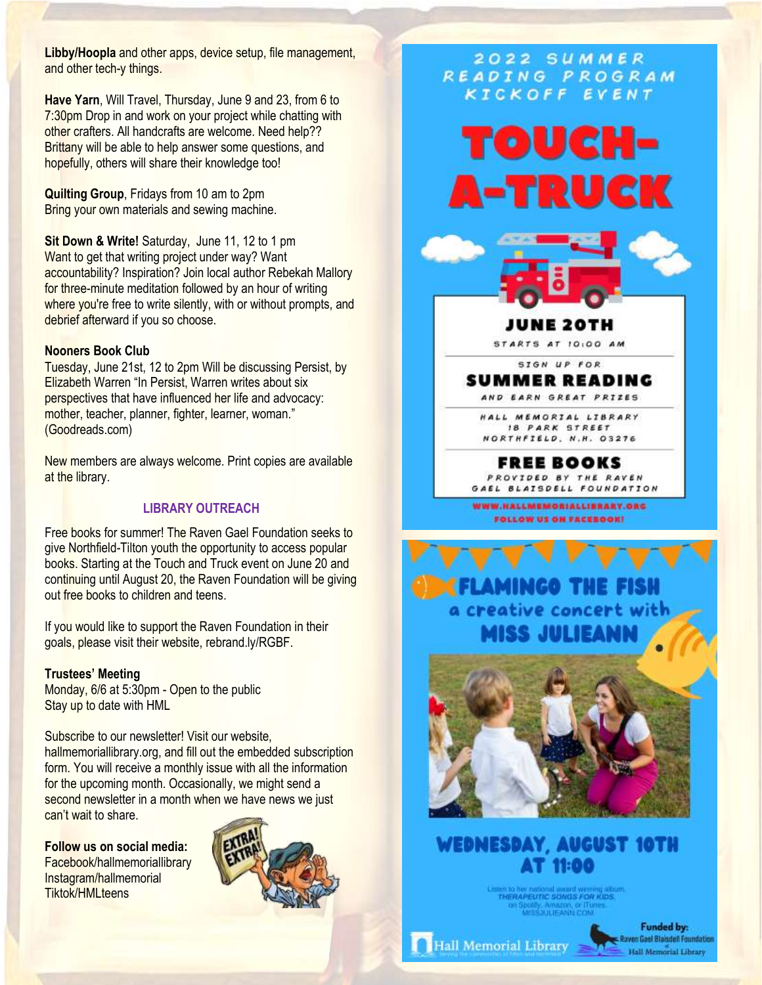**Libby/Hoopla** and other apps, device setup, file management, and other tech-y things.

**Have Yarn**, Will Travel, Thursday, June 9 and 23, from 6 to 7:30pm Drop in and work on your project while chatting with other crafters. All handcrafts are welcome. Need help?? Brittany will be able to help answer some questions, and hopefully, others will share their knowledge too!

**Quilting Group**, Fridays from 10 am to 2pm Bring your own materials and sewing machine.

**Sit Down & Write!** Saturday, June 11, 12 to 1 pm Want to get that writing project under way? Want accountability? Inspiration? Join local author Rebekah Mallory for three-minute meditation followed by an hour of writing where you're free to write silently, with or without prompts, and debrief afterward if you so choose.

#### **Nooners Book Club**

Tuesday, June 21st, 12 to 2pm Will be discussing Persist, by Elizabeth Warren "In Persist, Warren writes about six perspectives that have influenced her life and advocacy: mother, teacher, planner, fighter, learner, woman." (Goodreads.com)

New members are always welcome. Print copies are available at the library.

#### **LIBRARY OUTREACH**

Free books for summer! The Raven Gael Foundation seeks to give Northfield-Tilton youth the opportunity to access popular books. Starting at the Touch and Truck event on June 20 and continuing until August 20, the Raven Foundation will be giving out free books to children and teens.

If you would like to support the Raven Foundation in their goals, please visit their website, rebrand.ly/RGBF.

#### **Trustees' Meeting**

Monday, 6/6 at 5:30pm - Open to the public Stay up to date with HML

Subscribe to our newsletter! Visit our website, hallmemoriallibrary.org, and fill out the embedded subscription form. You will receive a monthly issue with all the information for the upcoming month. Occasionally, we might send a second newsletter in a month when we have news we just can't wait to share.

**Follow us on social media:** Facebook/hallmemoriallibrary Instagram/hallmemorial Tiktok/HMLteens



#### 2022 SUMMER READING PROGRAM KICKOFF EVENT





JUNE 20TH

STARTS AT 10:00 AM

SIGN UP FOR **SUMMER READING** AND EARN GREAT PRIZES

HALL MEMORIAL LIBRARY 18 PARK STREET NORTHFIELD, N.H. 03276

FREE BOOKS PROVIDED BY THE RAVEN GAEL BLAISDELL FOUNDATION

WWW.HALLMEMORIALLIBRARY.ORG FOLLOW US ON FACEBOOK!



### **WEDNESDAY, AUGUST 10TH AT 11:00**

THERAPEUTIC SONGS FOR KIDS in Spooly, Amazon, or ITc<br>MISSOLIE ANN COM

Hall Memorial Library

**Funded by:** Ravon Gael Blaisdell Foundation Hall Memorial Library